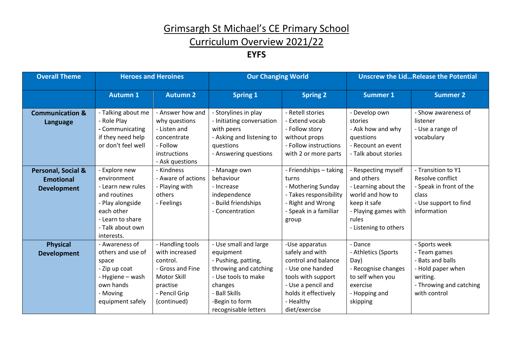## Curriculum Overview 2021/22

#### **EYFS**

| <b>Overall Theme</b>                                         | <b>Heroes and Heroines</b>                                                                                                                                |                                                                                                                               | <b>Our Changing World</b>                                                                                                                                                       |                                                                                                                                                                                | <b>Unscrew the LidRelease the Potential</b>                                                                                                             |                                                                                                                               |
|--------------------------------------------------------------|-----------------------------------------------------------------------------------------------------------------------------------------------------------|-------------------------------------------------------------------------------------------------------------------------------|---------------------------------------------------------------------------------------------------------------------------------------------------------------------------------|--------------------------------------------------------------------------------------------------------------------------------------------------------------------------------|---------------------------------------------------------------------------------------------------------------------------------------------------------|-------------------------------------------------------------------------------------------------------------------------------|
|                                                              | <b>Autumn 1</b>                                                                                                                                           | <b>Autumn 2</b>                                                                                                               | <b>Spring 1</b>                                                                                                                                                                 | <b>Spring 2</b>                                                                                                                                                                | <b>Summer 1</b>                                                                                                                                         | <b>Summer 2</b>                                                                                                               |
| <b>Communication &amp;</b><br>Language                       | - Talking about me<br>- Role Play<br>- Communicating<br>if they need help<br>or don't feel well                                                           | - Answer how and<br>why questions<br>- Listen and<br>concentrate<br>- Follow<br>instructions<br>- Ask questions               | - Storylines in play<br>- Initiating conversation<br>with peers<br>- Asking and listening to<br>questions<br>- Answering questions                                              | <b>Retell stories</b><br><b>Extend vocab</b><br>- Follow story<br>without props<br>- Follow instructions<br>with 2 or more parts                                               | - Develop own<br>stories<br>- Ask how and why<br>questions<br>- Recount an event<br>- Talk about stories                                                | - Show awareness of<br>listener<br>- Use a range of<br>vocabulary                                                             |
| Personal, Social &<br><b>Emotional</b><br><b>Development</b> | - Explore new<br>environment<br>- Learn new rules<br>and routines<br>- Play alongside<br>each other<br>- Learn to share<br>- Talk about own<br>interests. | - Kindness<br>- Aware of actions<br>- Playing with<br>others<br>- Feelings                                                    | - Manage own<br>behaviour<br>- Increase<br>independence<br><b>Build friendships</b><br>- Concentration                                                                          | - Friendships - taking<br>turns<br>- Mothering Sunday<br>- Takes responsibility<br>Right and Wrong<br>- Speak in a familiar<br>group                                           | - Respecting myself<br>and others<br>- Learning about the<br>world and how to<br>keep it safe<br>- Playing games with<br>rules<br>- Listening to others | - Transition to Y1<br>Resolve conflict<br>- Speak in front of the<br>class<br>- Use support to find<br>information            |
| <b>Physical</b><br><b>Development</b>                        | - Awareness of<br>others and use of<br>space<br>- Zip up coat<br>- Hygiene - wash<br>own hands<br>- Moving<br>equipment safely                            | - Handling tools<br>with increased<br>control.<br>- Gross and Fine<br>Motor Skill<br>practise<br>- Pencil Grip<br>(continued) | - Use small and large<br>equipment<br>- Pushing, patting,<br>throwing and catching<br>- Use tools to make<br>changes<br>- Ball Skills<br>-Begin to form<br>recognisable letters | -Use apparatus<br>safely and with<br>control and balance<br>- Use one handed<br>tools with support<br>- Use a pencil and<br>holds it effectively<br>- Healthy<br>diet/exercise | - Dance<br>- Athletics (Sports<br>Day)<br>- Recognise changes<br>to self when you<br>exercise<br>- Hopping and<br>skipping                              | - Sports week<br>- Team games<br>- Bats and balls<br>- Hold paper when<br>writing.<br>- Throwing and catching<br>with control |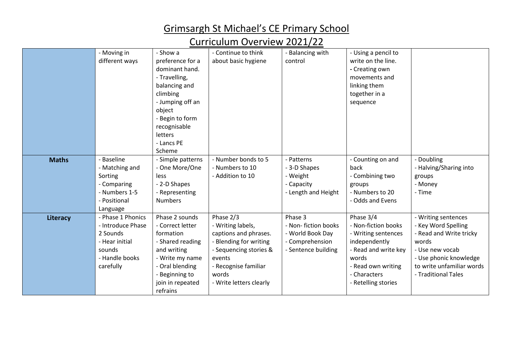### Curriculum Overview 2021/22

|              | - Moving in<br>different ways                                                                                 | - Show a<br>preference for a<br>dominant hand.<br>- Travelling,<br>balancing and<br>climbing<br>- Jumping off an<br>object<br>- Begin to form<br>recognisable<br>letters   | - Continue to think<br>about basic hygiene                                                                                                                                        | <b>Balancing with</b><br>control                                                              | - Using a pencil to<br>write on the line.<br>- Creating own<br>movements and<br>linking them<br>together in a<br>sequence                                              |                                                                                                                                                                                 |
|--------------|---------------------------------------------------------------------------------------------------------------|----------------------------------------------------------------------------------------------------------------------------------------------------------------------------|-----------------------------------------------------------------------------------------------------------------------------------------------------------------------------------|-----------------------------------------------------------------------------------------------|------------------------------------------------------------------------------------------------------------------------------------------------------------------------|---------------------------------------------------------------------------------------------------------------------------------------------------------------------------------|
|              |                                                                                                               | - Lancs PE<br>Scheme                                                                                                                                                       |                                                                                                                                                                                   |                                                                                               |                                                                                                                                                                        |                                                                                                                                                                                 |
| <b>Maths</b> | - Baseline<br>- Matching and<br>Sorting<br>- Comparing<br>- Numbers 1-5<br>- Positional<br>Language           | - Simple patterns<br>- One More/One<br>less<br>- 2-D Shapes<br>- Representing<br><b>Numbers</b>                                                                            | - Number bonds to 5<br>- Numbers to 10<br>- Addition to 10                                                                                                                        | - Patterns<br>- 3-D Shapes<br>- Weight<br>Capacity<br>Length and Height                       | - Counting on and<br>back<br>- Combining two<br>groups<br>- Numbers to 20<br>- Odds and Evens                                                                          | - Doubling<br>- Halving/Sharing into<br>groups<br>- Money<br>- Time                                                                                                             |
| Literacy     | - Phase 1 Phonics<br>- Introduce Phase<br>2 Sounds<br>- Hear initial<br>sounds<br>- Handle books<br>carefully | Phase 2 sounds<br>- Correct letter<br>formation<br>- Shared reading<br>and writing<br>- Write my name<br>- Oral blending<br>- Beginning to<br>join in repeated<br>refrains | Phase 2/3<br>- Writing labels,<br>captions and phrases.<br>- Blending for writing<br>- Sequencing stories &<br>events<br>- Recognise familiar<br>words<br>- Write letters clearly | Phase 3<br>- Non- fiction books<br>- World Book Day<br>- Comprehension<br>- Sentence building | Phase 3/4<br>- Non-fiction books<br>- Writing sentences<br>independently<br>- Read and write key<br>words<br>- Read own writing<br>- Characters<br>- Retelling stories | - Writing sentences<br>- Key Word Spelling<br>- Read and Write tricky<br>words<br>- Use new vocab<br>- Use phonic knowledge<br>to write unfamiliar words<br>- Traditional Tales |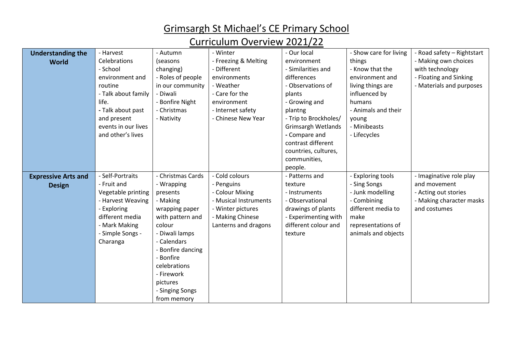## Curriculum Overview 2021/22

| <b>Understanding the</b>   | - Harvest           | - Autumn          | - Winter              | - Our local               | - Show care for living | - Road safety - Rightstart |
|----------------------------|---------------------|-------------------|-----------------------|---------------------------|------------------------|----------------------------|
| <b>World</b>               | Celebrations        | (seasons          | - Freezing & Melting  | environment               | things                 | - Making own choices       |
|                            | - School            | changing)         | - Different           | - Similarities and        | - Know that the        | with technology            |
|                            | environment and     | - Roles of people | environments          | differences               | environment and        | - Floating and Sinking     |
|                            | routine             | in our community  | - Weather             | - Observations of         | living things are      | - Materials and purposes   |
|                            | - Talk about family | - Diwali          | - Care for the        | plants                    | influenced by          |                            |
|                            | life.               | - Bonfire Night   | environment           | - Growing and             | humans                 |                            |
|                            | - Talk about past   | - Christmas       | - Internet safety     | plantng                   | - Animals and their    |                            |
|                            | and present         | - Nativity        | - Chinese New Year    | - Trip to Brockholes/     | young                  |                            |
|                            | events in our lives |                   |                       | <b>Grimsargh Wetlands</b> | - Minibeasts           |                            |
|                            | and other's lives   |                   |                       | - Compare and             | - Lifecycles           |                            |
|                            |                     |                   |                       | contrast different        |                        |                            |
|                            |                     |                   |                       | countries, cultures,      |                        |                            |
|                            |                     |                   |                       | communities,              |                        |                            |
|                            |                     |                   |                       | people.                   |                        |                            |
| <b>Expressive Arts and</b> | - Self-Portraits    | - Christmas Cards | - Cold colours        | - Patterns and            | - Exploring tools      | - Imaginative role play    |
| <b>Design</b>              | - Fruit and         | - Wrapping        | - Penguins            | texture                   | - Sing Songs           | and movement               |
|                            | Vegetable printing  | presents          | - Colour Mixing       | - Instruments             | - Junk modelling       | - Acting out stories       |
|                            | - Harvest Weaving   | - Making          | - Musical Instruments | - Observational           | - Combining            | - Making character masks   |
|                            | Exploring           | wrapping paper    | - Winter pictures     | drawings of plants        | different media to     | and costumes               |
|                            | different media     | with pattern and  | - Making Chinese      | - Experimenting with      | make                   |                            |
|                            | - Mark Making       | colour            | Lanterns and dragons  | different colour and      | representations of     |                            |
|                            | - Simple Songs -    | - Diwali lamps    |                       | texture                   | animals and objects    |                            |
|                            | Charanga            | - Calendars       |                       |                           |                        |                            |
|                            |                     | Bonfire dancing   |                       |                           |                        |                            |
|                            |                     | Bonfire           |                       |                           |                        |                            |
|                            |                     | celebrations      |                       |                           |                        |                            |
|                            |                     | - Firework        |                       |                           |                        |                            |
|                            |                     | pictures          |                       |                           |                        |                            |
|                            |                     | - Singing Songs   |                       |                           |                        |                            |
|                            |                     | from memory       |                       |                           |                        |                            |